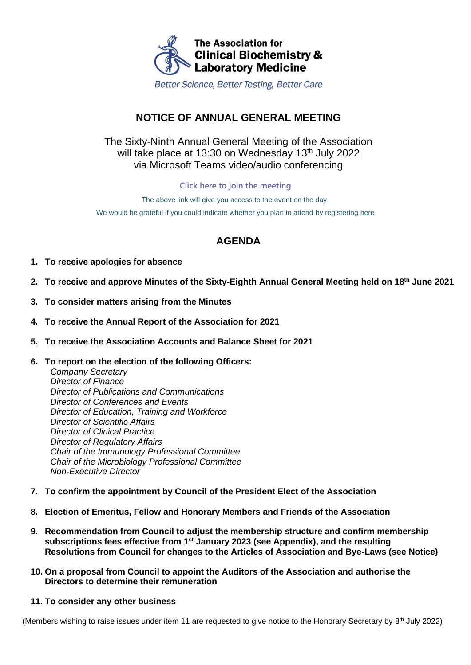

Better Science, Better Testing, Better Care

# **NOTICE OF ANNUAL GENERAL MEETING**

## The Sixty-Ninth Annual General Meeting of the Association will take place at 13:30 on Wednesday 13<sup>th</sup> July 2022 via Microsoft Teams video/audio conferencing

**[Click here to join the meeting](https://teams.microsoft.com/l/meetup-join/19%3ameeting_MGYyOWRjNmItMDEyYy00M2I4LWFlMTAtNDhiN2Y2M2U0MzYw%40thread.v2/0?context=%7b%22Tid%22%3a%2279ed3ed4-8116-47c5-95f1-086c613dce38%22%2c%22Oid%22%3a%222fe2821f-49ef-446d-bb60-2fb2b1003a36%22%7d)**

The above link will give you access to the event on the day. We would be grateful if you could indicate whether you plan to attend by registering [here](https://www.acb.org.uk/events-and-awards/event-calendar/acb-fcs-annual-general-meetings.html)

# **AGENDA**

- **1. To receive apologies for absence**
- **2. To receive and approve Minutes of the Sixty-Eighth Annual General Meeting held on 18th June 2021**
- **3. To consider matters arising from the Minutes**
- **4. To receive the Annual Report of the Association for 2021**
- **5. To receive the Association Accounts and Balance Sheet for 2021**
- **6. To report on the election of the following Officers:**

*Company Secretary Director of Finance Director of Publications and Communications Director of Conferences and Events Director of Education, Training and Workforce Director of Scientific Affairs Director of Clinical Practice Director of Regulatory Affairs Chair of the Immunology Professional Committee Chair of the Microbiology Professional Committee Non-Executive Director*

- **7. To confirm the appointment by Council of the President Elect of the Association**
- **8. Election of Emeritus, Fellow and Honorary Members and Friends of the Association**
- **9. Recommendation from Council to adjust the membership structure and confirm membership subscriptions fees effective from 1st January 2023 (see Appendix), and the resulting Resolutions from Council for changes to the Articles of Association and Bye-Laws (see Notice)**
- **10. On a proposal from Council to appoint the Auditors of the Association and authorise the Directors to determine their remuneration**
- **11. To consider any other business**

(Members wishing to raise issues under item 11 are requested to give notice to the Honorary Secretary by 8<sup>th</sup> July 2022)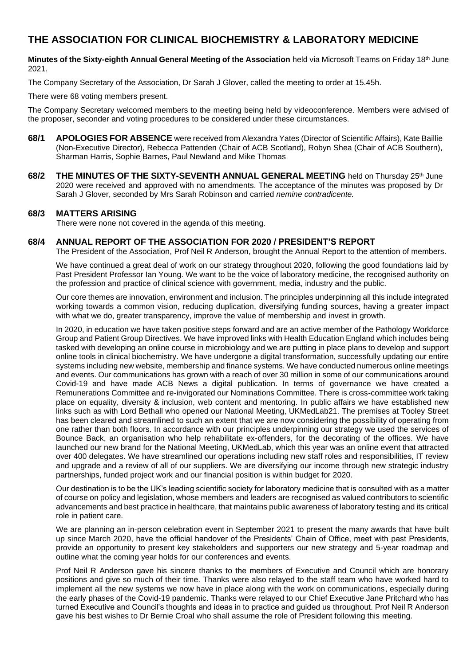# **THE ASSOCIATION FOR CLINICAL BIOCHEMISTRY & LABORATORY MEDICINE**

**Minutes of the Sixty-eighth Annual General Meeting of the Association** held via Microsoft Teams on Friday 18th June 2021.

The Company Secretary of the Association, Dr Sarah J Glover, called the meeting to order at 15.45h.

There were 68 voting members present.

The Company Secretary welcomed members to the meeting being held by videoconference. Members were advised of the proposer, seconder and voting procedures to be considered under these circumstances.

- **68/1 APOLOGIES FOR ABSENCE** were received from Alexandra Yates (Director of Scientific Affairs), Kate Baillie (Non-Executive Director), Rebecca Pattenden (Chair of ACB Scotland), Robyn Shea (Chair of ACB Southern), Sharman Harris, Sophie Barnes, Paul Newland and Mike Thomas
- **68/2 THE MINUTES OF THE SIXTY-SEVENTH ANNUAL GENERAL MEETING** held on Thursday 25th June 2020 were received and approved with no amendments. The acceptance of the minutes was proposed by Dr Sarah J Glover, seconded by Mrs Sarah Robinson and carried *nemine contradicente.*

#### **68/3 MATTERS ARISING**

There were none not covered in the agenda of this meeting.

#### **68/4 ANNUAL REPORT OF THE ASSOCIATION FOR 2020 / PRESIDENT'S REPORT**

The President of the Association, Prof Neil R Anderson, brought the Annual Report to the attention of members.

We have continued a great deal of work on our strategy throughout 2020, following the good foundations laid by Past President Professor Ian Young. We want to be the voice of laboratory medicine, the recognised authority on the profession and practice of clinical science with government, media, industry and the public.

Our core themes are innovation, environment and inclusion. The principles underpinning all this include integrated working towards a common vision, reducing duplication, diversifying funding sources, having a greater impact with what we do, greater transparency, improve the value of membership and invest in growth.

In 2020, in education we have taken positive steps forward and are an active member of the Pathology Workforce Group and Patient Group Directives. We have improved links with Health Education England which includes being tasked with developing an online course in microbiology and we are putting in place plans to develop and support online tools in clinical biochemistry. We have undergone a digital transformation, successfully updating our entire systems including new website, membership and finance systems. We have conducted numerous online meetings and events. Our communications has grown with a reach of over 30 million in some of our communications around Covid-19 and have made ACB News a digital publication. In terms of governance we have created a Remunerations Committee and re-invigorated our Nominations Committee. There is cross-committee work taking place on equality, diversity & inclusion, web content and mentoring. In public affairs we have established new links such as with Lord Bethall who opened our National Meeting, UKMedLab21. The premises at Tooley Street has been cleared and streamlined to such an extent that we are now considering the possibility of operating from one rather than both floors. In accordance with our principles underpinning our strategy we used the services of Bounce Back, an organisation who help rehabilitate ex-offenders, for the decorating of the offices. We have launched our new brand for the National Meeting, UKMedLab, which this year was an online event that attracted over 400 delegates. We have streamlined our operations including new staff roles and responsibilities, IT review and upgrade and a review of all of our suppliers. We are diversifying our income through new strategic industry partnerships, funded project work and our financial position is within budget for 2020.

Our destination is to be the UK's leading scientific society for laboratory medicine that is consulted with as a matter of course on policy and legislation, whose members and leaders are recognised as valued contributors to scientific advancements and best practice in healthcare, that maintains public awareness of laboratory testing and its critical role in patient care.

We are planning an in-person celebration event in September 2021 to present the many awards that have built up since March 2020, have the official handover of the Presidents' Chain of Office, meet with past Presidents, provide an opportunity to present key stakeholders and supporters our new strategy and 5-year roadmap and outline what the coming year holds for our conferences and events.

Prof Neil R Anderson gave his sincere thanks to the members of Executive and Council which are honorary positions and give so much of their time. Thanks were also relayed to the staff team who have worked hard to implement all the new systems we now have in place along with the work on communications, especially during the early phases of the Covid-19 pandemic. Thanks were relayed to our Chief Executive Jane Pritchard who has turned Executive and Council's thoughts and ideas in to practice and guided us throughout. Prof Neil R Anderson gave his best wishes to Dr Bernie Croal who shall assume the role of President following this meeting.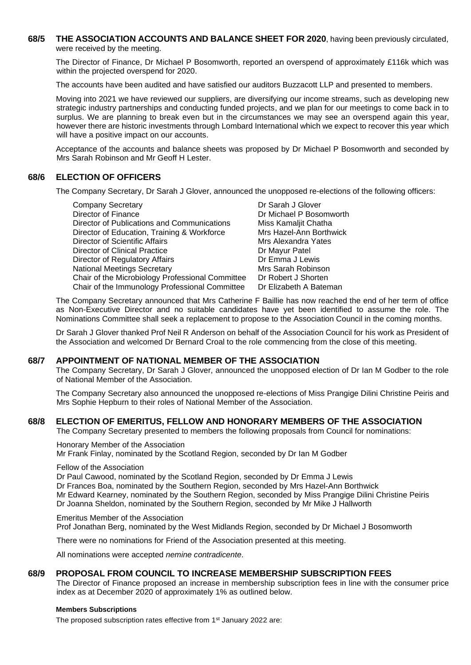**68/5 THE ASSOCIATION ACCOUNTS AND BALANCE SHEET FOR 2020**, having been previously circulated, were received by the meeting.

The Director of Finance, Dr Michael P Bosomworth, reported an overspend of approximately £116k which was within the projected overspend for 2020.

The accounts have been audited and have satisfied our auditors Buzzacott LLP and presented to members.

Moving into 2021 we have reviewed our suppliers, are diversifying our income streams, such as developing new strategic industry partnerships and conducting funded projects, and we plan for our meetings to come back in to surplus. We are planning to break even but in the circumstances we may see an overspend again this year, however there are historic investments through Lombard International which we expect to recover this year which will have a positive impact on our accounts.

Acceptance of the accounts and balance sheets was proposed by Dr Michael P Bosomworth and seconded by Mrs Sarah Robinson and Mr Geoff H Lester.

#### **68/6 ELECTION OF OFFICERS**

The Company Secretary, Dr Sarah J Glover, announced the unopposed re-elections of the following officers:

| Dr Sarah J Glover       |
|-------------------------|
| Dr Michael P Bosomworth |
| Miss Kamaljit Chatha    |
| Mrs Hazel-Ann Borthwick |
| Mrs Alexandra Yates     |
| Dr Mayur Patel          |
| Dr Emma J Lewis         |
| Mrs Sarah Robinson      |
| Dr Robert J Shorten     |
| Dr Elizabeth A Bateman  |
|                         |

The Company Secretary announced that Mrs Catherine F Baillie has now reached the end of her term of office as Non-Executive Director and no suitable candidates have yet been identified to assume the role. The Nominations Committee shall seek a replacement to propose to the Association Council in the coming months.

Dr Sarah J Glover thanked Prof Neil R Anderson on behalf of the Association Council for his work as President of the Association and welcomed Dr Bernard Croal to the role commencing from the close of this meeting.

#### **68/7 APPOINTMENT OF NATIONAL MEMBER OF THE ASSOCIATION**

The Company Secretary, Dr Sarah J Glover, announced the unopposed election of Dr Ian M Godber to the role of National Member of the Association.

The Company Secretary also announced the unopposed re-elections of Miss Prangige Dilini Christine Peiris and Mrs Sophie Hepburn to their roles of National Member of the Association.

#### **68/8 ELECTION OF EMERITUS, FELLOW AND HONORARY MEMBERS OF THE ASSOCIATION**

The Company Secretary presented to members the following proposals from Council for nominations:

Honorary Member of the Association Mr Frank Finlay, nominated by the Scotland Region, seconded by Dr Ian M Godber

Fellow of the Association

Dr Paul Cawood, nominated by the Scotland Region, seconded by Dr Emma J Lewis

Dr Frances Boa, nominated by the Southern Region, seconded by Mrs Hazel-Ann Borthwick

Mr Edward Kearney, nominated by the Southern Region, seconded by Miss Prangige Dilini Christine Peiris

Dr Joanna Sheldon, nominated by the Southern Region, seconded by Mr Mike J Hallworth

Emeritus Member of the Association Prof Jonathan Berg, nominated by the West Midlands Region, seconded by Dr Michael J Bosomworth

There were no nominations for Friend of the Association presented at this meeting.

All nominations were accepted *nemine contradicente*.

#### **68/9 PROPOSAL FROM COUNCIL TO INCREASE MEMBERSHIP SUBSCRIPTION FEES**

The Director of Finance proposed an increase in membership subscription fees in line with the consumer price index as at December 2020 of approximately 1% as outlined below.

#### **Members Subscriptions**

The proposed subscription rates effective from 1<sup>st</sup> January 2022 are: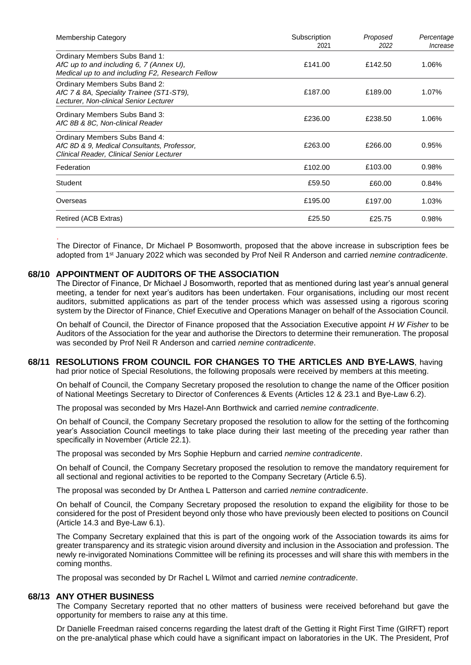| <b>Membership Category</b>                                                                                                  | Subscription<br>2021 | Proposed<br>2022 | Percentage<br>Increase |
|-----------------------------------------------------------------------------------------------------------------------------|----------------------|------------------|------------------------|
| Ordinary Members Subs Band 1:<br>AfC up to and including 6, 7 (Annex U),<br>Medical up to and including F2, Research Fellow | £141.00              | £142.50          | 1.06%                  |
| Ordinary Members Subs Band 2:<br>AfC 7 & 8A, Speciality Trainee (ST1-ST9),<br>Lecturer, Non-clinical Senior Lecturer        | £187.00              | £189.00          | 1.07%                  |
| Ordinary Members Subs Band 3:<br>AfC 8B & 8C, Non-clinical Reader                                                           | £236.00              | £238.50          | 1.06%                  |
| Ordinary Members Subs Band 4:<br>AfC 8D & 9, Medical Consultants, Professor,<br>Clinical Reader, Clinical Senior Lecturer   | £263.00              | £266.00          | 0.95%                  |
| Federation                                                                                                                  | £102.00              | £103.00          | 0.98%                  |
| Student                                                                                                                     | £59.50               | £60.00           | 0.84%                  |
| Overseas                                                                                                                    | £195.00              | £197.00          | 1.03%                  |
| Retired (ACB Extras)                                                                                                        | £25.50               | £25.75           | 0.98%                  |

. The Director of Finance, Dr Michael P Bosomworth, proposed that the above increase in subscription fees be adopted from 1st January 2022 which was seconded by Prof Neil R Anderson and carried *nemine contradicente*.

#### **68/10 APPOINTMENT OF AUDITORS OF THE ASSOCIATION**

The Director of Finance, Dr Michael J Bosomworth, reported that as mentioned during last year's annual general meeting, a tender for next year's auditors has been undertaken. Four organisations, including our most recent auditors, submitted applications as part of the tender process which was assessed using a rigorous scoring system by the Director of Finance, Chief Executive and Operations Manager on behalf of the Association Council.

On behalf of Council, the Director of Finance proposed that the Association Executive appoint *H W Fisher* to be Auditors of the Association for the year and authorise the Directors to determine their remuneration. The proposal was seconded by Prof Neil R Anderson and carried *nemine contradicente*.

### **68/11 RESOLUTIONS FROM COUNCIL FOR CHANGES TO THE ARTICLES AND BYE-LAWS**, having

had prior notice of Special Resolutions, the following proposals were received by members at this meeting.

On behalf of Council, the Company Secretary proposed the resolution to change the name of the Officer position of National Meetings Secretary to Director of Conferences & Events (Articles 12 & 23.1 and Bye-Law 6.2).

The proposal was seconded by Mrs Hazel-Ann Borthwick and carried *nemine contradicente*.

On behalf of Council, the Company Secretary proposed the resolution to allow for the setting of the forthcoming year's Association Council meetings to take place during their last meeting of the preceding year rather than specifically in November (Article 22.1).

The proposal was seconded by Mrs Sophie Hepburn and carried *nemine contradicente*.

On behalf of Council, the Company Secretary proposed the resolution to remove the mandatory requirement for all sectional and regional activities to be reported to the Company Secretary (Article 6.5).

The proposal was seconded by Dr Anthea L Patterson and carried *nemine contradicente*.

On behalf of Council, the Company Secretary proposed the resolution to expand the eligibility for those to be considered for the post of President beyond only those who have previously been elected to positions on Council (Article 14.3 and Bye-Law 6.1).

The Company Secretary explained that this is part of the ongoing work of the Association towards its aims for greater transparency and its strategic vision around diversity and inclusion in the Association and profession. The newly re-invigorated Nominations Committee will be refining its processes and will share this with members in the coming months.

The proposal was seconded by Dr Rachel L Wilmot and carried *nemine contradicente*.

#### **68/13 ANY OTHER BUSINESS**

The Company Secretary reported that no other matters of business were received beforehand but gave the opportunity for members to raise any at this time.

Dr Danielle Freedman raised concerns regarding the latest draft of the Getting it Right First Time (GIRFT) report on the pre-analytical phase which could have a significant impact on laboratories in the UK. The President, Prof